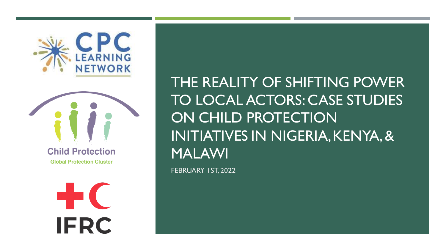



**Global Protection Cluster** 

**-1-C IFRC**  THE REALITY OF SHIFTING POWER TO LOCAL ACTORS: CASE STUDIES ON CHILD PROTECTION INITIATIVES IN NIGERIA, KENYA, & MALAWI FEBRUARY 1ST, 2022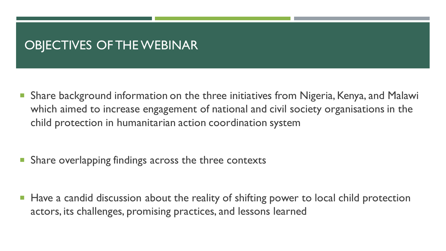## OBJECTIVES OF THE WEBINAR

 Share background information on the three initiatives from Nigeria, Kenya, and Malawi which aimed to increase engagement of national and civil society organisations in the child protection in humanitarian action coordination system

- Share overlapping findings across the three contexts
- **Have a candid discussion about the reality of shifting power to local child protection** actors, its challenges, promising practices, and lessons learned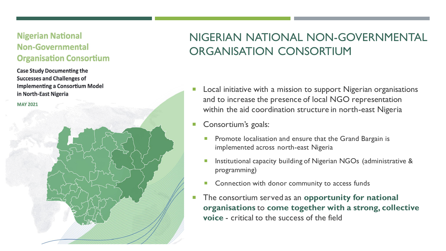#### **Nigerian National Non-Governmental Organisation Consortium**

**Case Study Documenting the Successes and Challenges of Implementing a Consortium Model** in North-East Nigeria

**MAY 2021** 

## NIGERIAN NATIONAL NON-GOVERNMENTAL ORGANISATION CONSORTIUM

- **Local initiative with a mission to support Nigerian organisations** and to increase the presence of local NGO representation within the aid coordination structure in north-east Nigeria
- **Consortium's goals:** 
	- Promote localisation and ensure that the Grand Bargain is implemented across north-east Nigeria
	- **Institutional capacity building of Nigerian NGOs (administrative &** programming)
	- **Connection with donor community to access funds**
- **The consortium served as an opportunity for national organisations** to **come together with a strong, collective voice** - critical to the success of the field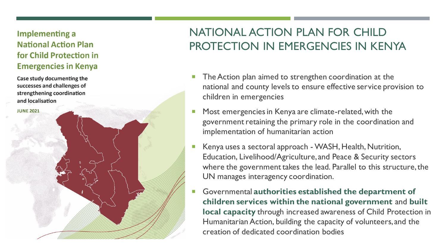#### **Implementing a National Action Plan** for Child Protection in **Emergencies in Kenya**

Case study documenting the successes and challenges of strengthening coordination and localisation

**JUNE 2021** 

## NATIONAL ACTION PLAN FOR CHILD PROTECTION IN EMERGENCIES IN KENYA

- **The Action plan aimed to strengthen coordination at the** national and county levels to ensure effective service provision to children in emergencies
- **Most emergencies in Kenya are climate-related, with the** government retaining the primary role in the coordination and implementation of humanitarian action
- Kenya uses a sectoral approach WASH, Health, Nutrition, Education, Livelihood/Agriculture, and Peace & Security sectors where the government takes the lead. Parallel to this structure, the UN manages interagency coordination.
- Governmental **authorities established the department of children services within the national government** and **built local capacity** through increased awareness of Child Protection in Humanitarian Action, building the capacity of volunteers, and the creation of dedicated coordination bodies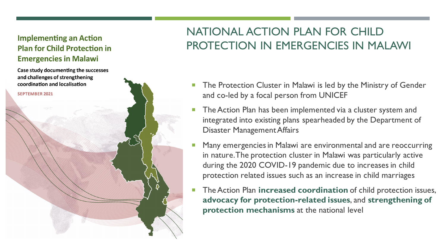#### **Implementing an Action Plan for Child Protection in Emergencies in Malawi**

Case study documenting the successes and challenges of strengthening coordination and localisation

**SEPTEMBER 2021** 

## NATIONAL ACTION PLAN FOR CHILD PROTECTION IN EMERGENCIES IN MALAWI

- **The Protection Cluster in Malawi is led by the Ministry of Gender** and co-led by a focal person from UNICEF
- The Action Plan has been implemented via a cluster system and integrated into existing plans spearheaded by the Department of Disaster Management Affairs
- Many emergencies in Malawi are environmental and are reoccurring in nature. The protection cluster in Malawi was particularly active during the 2020 COVID-19 pandemic due to increases in child protection related issues such as an increase in child marriages
- **The Action Plan increased coordination** of child protection issues, **advocacy for protection-related issues**, and **strengthening of protection mechanisms** at the national level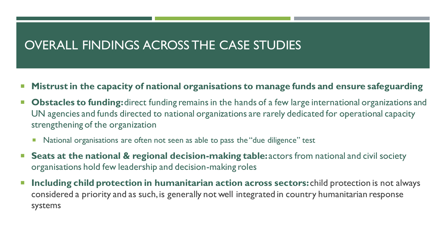### OVERALL FINDINGS ACROSS THE CASE STUDIES

- **Mistrust in the capacity of national organisations to manage funds and ensure safeguarding**
- **Dbstacles to funding:** direct funding remains in the hands of a few large international organizations and UN agencies and funds directed to national organizations are rarely dedicated for operational capacity strengthening of the organization
	- **National organisations are often not seen as able to pass the "due diligence" test**
- Seats at the national & regional decision-making table: actors from national and civil society organisations hold few leadership and decision-making roles
- **Including child protection in humanitarian action across sectors:** child protection is not always considered a priority and as such, is generally not well integrated in country humanitarian response systems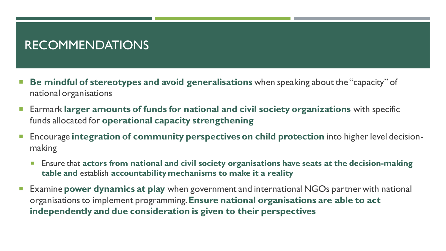## RECOMMENDATIONS

- **Be mindful of stereotypes and avoid generalisations** when speaking about the "capacity" of national organisations
- Earmark **larger amounts of funds for national and civil society organizations** with specific funds allocated for **operational capacity strengthening**
- Encourage **integration of community perspectives on child protection** into higher level decisionmaking
	- Ensure that **actors from national and civil society organisations have seats at the decision-making table and** establish **accountability mechanisms to make it a reality**
- Examine **power dynamics at play** when government and international NGOs partner with national organisationsto implement programming. **Ensure national organisations are able to act independently and due consideration is given to their perspectives**